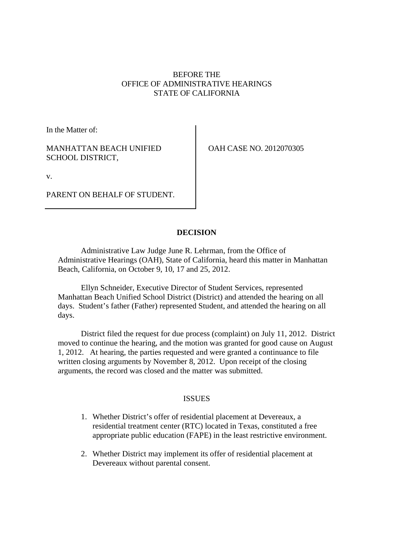# BEFORE THE OFFICE OF ADMINISTRATIVE HEARINGS STATE OF CALIFORNIA

In the Matter of:

# MANHATTAN BEACH UNIFIED SCHOOL DISTRICT,

OAH CASE NO. 2012070305

v.

PARENT ON BEHALF OF STUDENT.

# **DECISION**

Administrative Law Judge June R. Lehrman, from the Office of Administrative Hearings (OAH), State of California, heard this matter in Manhattan Beach, California, on October 9, 10, 17 and 25, 2012.

Ellyn Schneider, Executive Director of Student Services, represented Manhattan Beach Unified School District (District) and attended the hearing on all days. Student's father (Father) represented Student, and attended the hearing on all days.

District filed the request for due process (complaint) on July 11, 2012. District moved to continue the hearing, and the motion was granted for good cause on August 1, 2012. At hearing, the parties requested and were granted a continuance to file written closing arguments by November 8, 2012. Upon receipt of the closing arguments, the record was closed and the matter was submitted.

# ISSUES

- 1. Whether District's offer of residential placement at Devereaux, a residential treatment center (RTC) located in Texas, constituted a free appropriate public education (FAPE) in the least restrictive environment.
- 2. Whether District may implement its offer of residential placement at Devereaux without parental consent.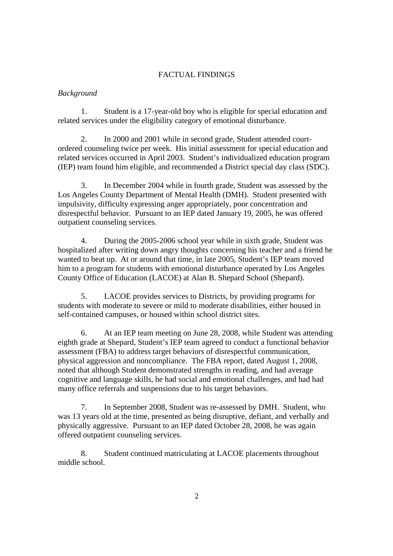## FACTUAL FINDINGS

## *Background*

1. Student is a 17-year-old boy who is eligible for special education and related services under the eligibility category of emotional disturbance.

2. In 2000 and 2001 while in second grade, Student attended courtordered counseling twice per week. His initial assessment for special education and related services occurred in April 2003. Student's individualized education program (IEP) team found him eligible, and recommended a District special day class (SDC).

3. In December 2004 while in fourth grade, Student was assessed by the Los Angeles County Department of Mental Health (DMH). Student presented with impulsivity, difficulty expressing anger appropriately, poor concentration and disrespectful behavior. Pursuant to an IEP dated January 19, 2005, he was offered outpatient counseling services.

4. During the 2005-2006 school year while in sixth grade, Student was hospitalized after writing down angry thoughts concerning his teacher and a friend he wanted to beat up. At or around that time, in late 2005, Student's IEP team moved him to a program for students with emotional disturbance operated by Los Angeles County Office of Education (LACOE) at Alan B. Shepard School (Shepard).

5. LACOE provides services to Districts, by providing programs for students with moderate to severe or mild to moderate disabilities, either housed in self-contained campuses, or housed within school district sites.

6. At an IEP team meeting on June 28, 2008, while Student was attending eighth grade at Shepard, Student's IEP team agreed to conduct a functional behavior assessment (FBA) to address target behaviors of disrespectful communication, physical aggression and noncompliance. The FBA report, dated August 1, 2008, noted that although Student demonstrated strengths in reading, and had average cognitive and language skills, he had social and emotional challenges, and had had many office referrals and suspensions due to his target behaviors.

7. In September 2008, Student was re-assessed by DMH. Student, who was 13 years old at the time, presented as being disruptive, defiant, and verbally and physically aggressive. Pursuant to an IEP dated October 28, 2008, he was again offered outpatient counseling services.

8. Student continued matriculating at LACOE placements throughout middle school.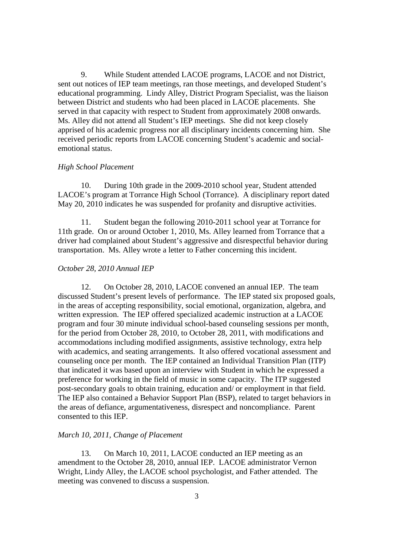9. While Student attended LACOE programs, LACOE and not District, sent out notices of IEP team meetings, ran those meetings, and developed Student's educational programming. Lindy Alley, District Program Specialist, was the liaison between District and students who had been placed in LACOE placements. She served in that capacity with respect to Student from approximately 2008 onwards. Ms. Alley did not attend all Student's IEP meetings. She did not keep closely apprised of his academic progress nor all disciplinary incidents concerning him. She received periodic reports from LACOE concerning Student's academic and socialemotional status.

### *High School Placement*

10. During 10th grade in the 2009-2010 school year, Student attended LACOE's program at Torrance High School (Torrance). A disciplinary report dated May 20, 2010 indicates he was suspended for profanity and disruptive activities.

11. Student began the following 2010-2011 school year at Torrance for 11th grade. On or around October 1, 2010, Ms. Alley learned from Torrance that a driver had complained about Student's aggressive and disrespectful behavior during transportation. Ms. Alley wrote a letter to Father concerning this incident.

### *October 28, 2010 Annual IEP*

12. On October 28, 2010, LACOE convened an annual IEP. The team discussed Student's present levels of performance. The IEP stated six proposed goals, in the areas of accepting responsibility, social emotional, organization, algebra, and written expression. The IEP offered specialized academic instruction at a LACOE program and four 30 minute individual school-based counseling sessions per month, for the period from October 28, 2010, to October 28, 2011, with modifications and accommodations including modified assignments, assistive technology, extra help with academics, and seating arrangements. It also offered vocational assessment and counseling once per month. The IEP contained an Individual Transition Plan (ITP) that indicated it was based upon an interview with Student in which he expressed a preference for working in the field of music in some capacity. The ITP suggested post-secondary goals to obtain training, education and/ or employment in that field. The IEP also contained a Behavior Support Plan (BSP), related to target behaviors in the areas of defiance, argumentativeness, disrespect and noncompliance. Parent consented to this IEP.

### *March 10, 2011, Change of Placement*

13. On March 10, 2011, LACOE conducted an IEP meeting as an amendment to the October 28, 2010, annual IEP. LACOE administrator Vernon Wright, Lindy Alley, the LACOE school psychologist, and Father attended. The meeting was convened to discuss a suspension.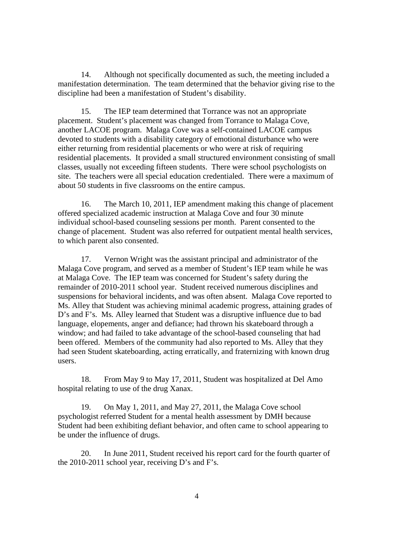14. Although not specifically documented as such, the meeting included a manifestation determination. The team determined that the behavior giving rise to the discipline had been a manifestation of Student's disability.

15. The IEP team determined that Torrance was not an appropriate placement. Student's placement was changed from Torrance to Malaga Cove, another LACOE program. Malaga Cove was a self-contained LACOE campus devoted to students with a disability category of emotional disturbance who were either returning from residential placements or who were at risk of requiring residential placements. It provided a small structured environment consisting of small classes, usually not exceeding fifteen students. There were school psychologists on site. The teachers were all special education credentialed. There were a maximum of about 50 students in five classrooms on the entire campus.

16. The March 10, 2011, IEP amendment making this change of placement offered specialized academic instruction at Malaga Cove and four 30 minute individual school-based counseling sessions per month. Parent consented to the change of placement. Student was also referred for outpatient mental health services, to which parent also consented.

17. Vernon Wright was the assistant principal and administrator of the Malaga Cove program, and served as a member of Student's IEP team while he was at Malaga Cove. The IEP team was concerned for Student's safety during the remainder of 2010-2011 school year. Student received numerous disciplines and suspensions for behavioral incidents, and was often absent. Malaga Cove reported to Ms. Alley that Student was achieving minimal academic progress, attaining grades of D's and F's. Ms. Alley learned that Student was a disruptive influence due to bad language, elopements, anger and defiance; had thrown his skateboard through a window; and had failed to take advantage of the school-based counseling that had been offered. Members of the community had also reported to Ms. Alley that they had seen Student skateboarding, acting erratically, and fraternizing with known drug users.

18. From May 9 to May 17, 2011, Student was hospitalized at Del Amo hospital relating to use of the drug Xanax.

19. On May 1, 2011, and May 27, 2011, the Malaga Cove school psychologist referred Student for a mental health assessment by DMH because Student had been exhibiting defiant behavior, and often came to school appearing to be under the influence of drugs.

20. In June 2011, Student received his report card for the fourth quarter of the 2010-2011 school year, receiving D's and F's.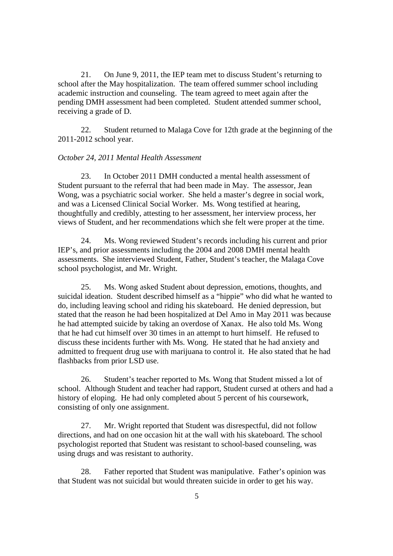21. On June 9, 2011, the IEP team met to discuss Student's returning to school after the May hospitalization. The team offered summer school including academic instruction and counseling. The team agreed to meet again after the pending DMH assessment had been completed. Student attended summer school, receiving a grade of D.

22. Student returned to Malaga Cove for 12th grade at the beginning of the 2011-2012 school year.

### *October 24, 2011 Mental Health Assessment*

23. In October 2011 DMH conducted a mental health assessment of Student pursuant to the referral that had been made in May. The assessor, Jean Wong, was a psychiatric social worker. She held a master's degree in social work, and was a Licensed Clinical Social Worker. Ms. Wong testified at hearing, thoughtfully and credibly, attesting to her assessment, her interview process, her views of Student, and her recommendations which she felt were proper at the time.

24. Ms. Wong reviewed Student's records including his current and prior IEP's, and prior assessments including the 2004 and 2008 DMH mental health assessments. She interviewed Student, Father, Student's teacher, the Malaga Cove school psychologist, and Mr. Wright.

25. Ms. Wong asked Student about depression, emotions, thoughts, and suicidal ideation. Student described himself as a "hippie" who did what he wanted to do, including leaving school and riding his skateboard. He denied depression, but stated that the reason he had been hospitalized at Del Amo in May 2011 was because he had attempted suicide by taking an overdose of Xanax. He also told Ms. Wong that he had cut himself over 30 times in an attempt to hurt himself. He refused to discuss these incidents further with Ms. Wong. He stated that he had anxiety and admitted to frequent drug use with marijuana to control it. He also stated that he had flashbacks from prior LSD use.

26. Student's teacher reported to Ms. Wong that Student missed a lot of school. Although Student and teacher had rapport, Student cursed at others and had a history of eloping. He had only completed about 5 percent of his coursework, consisting of only one assignment.

27. Mr. Wright reported that Student was disrespectful, did not follow directions, and had on one occasion hit at the wall with his skateboard. The school psychologist reported that Student was resistant to school-based counseling, was using drugs and was resistant to authority.

28. Father reported that Student was manipulative. Father's opinion was that Student was not suicidal but would threaten suicide in order to get his way.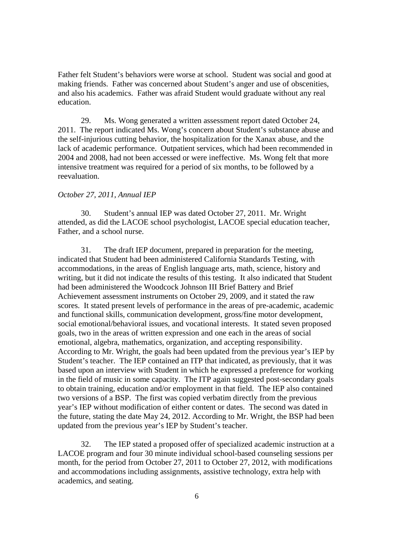Father felt Student's behaviors were worse at school. Student was social and good at making friends. Father was concerned about Student's anger and use of obscenities, and also his academics. Father was afraid Student would graduate without any real education.

29. Ms. Wong generated a written assessment report dated October 24, 2011. The report indicated Ms. Wong's concern about Student's substance abuse and the self-injurious cutting behavior, the hospitalization for the Xanax abuse, and the lack of academic performance. Outpatient services, which had been recommended in 2004 and 2008, had not been accessed or were ineffective. Ms. Wong felt that more intensive treatment was required for a period of six months, to be followed by a reevaluation.

## *October 27, 2011, Annual IEP*

30. Student's annual IEP was dated October 27, 2011. Mr. Wright attended, as did the LACOE school psychologist, LACOE special education teacher, Father, and a school nurse.

31. The draft IEP document, prepared in preparation for the meeting, indicated that Student had been administered California Standards Testing, with accommodations, in the areas of English language arts, math, science, history and writing, but it did not indicate the results of this testing. It also indicated that Student had been administered the Woodcock Johnson III Brief Battery and Brief Achievement assessment instruments on October 29, 2009, and it stated the raw scores. It stated present levels of performance in the areas of pre-academic, academic and functional skills, communication development, gross/fine motor development, social emotional/behavioral issues, and vocational interests. It stated seven proposed goals, two in the areas of written expression and one each in the areas of social emotional, algebra, mathematics, organization, and accepting responsibility. According to Mr. Wright, the goals had been updated from the previous year's IEP by Student's teacher. The IEP contained an ITP that indicated, as previously, that it was based upon an interview with Student in which he expressed a preference for working in the field of music in some capacity. The ITP again suggested post-secondary goals to obtain training, education and/or employment in that field. The IEP also contained two versions of a BSP. The first was copied verbatim directly from the previous year's IEP without modification of either content or dates. The second was dated in the future, stating the date May 24, 2012. According to Mr. Wright, the BSP had been updated from the previous year's IEP by Student's teacher.

32. The IEP stated a proposed offer of specialized academic instruction at a LACOE program and four 30 minute individual school-based counseling sessions per month, for the period from October 27, 2011 to October 27, 2012, with modifications and accommodations including assignments, assistive technology, extra help with academics, and seating.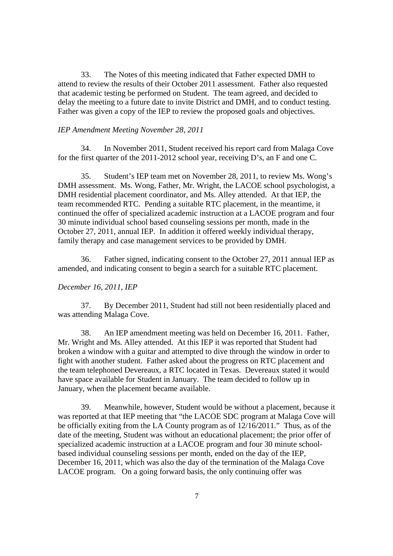33. The Notes of this meeting indicated that Father expected DMH to attend to review the results of their October 2011 assessment. Father also requested that academic testing be performed on Student. The team agreed, and decided to delay the meeting to a future date to invite District and DMH, and to conduct testing. Father was given a copy of the IEP to review the proposed goals and objectives.

### *IEP Amendment Meeting November 28, 2011*

34. In November 2011, Student received his report card from Malaga Cove for the first quarter of the 2011-2012 school year, receiving D's, an F and one C.

35. Student's IEP team met on November 28, 2011, to review Ms. Wong's DMH assessment. Ms. Wong, Father, Mr. Wright, the LACOE school psychologist, a DMH residential placement coordinator, and Ms. Alley attended. At that IEP, the team recommended RTC. Pending a suitable RTC placement, in the meantime, it continued the offer of specialized academic instruction at a LACOE program and four 30 minute individual school based counseling sessions per month, made in the October 27, 2011, annual IEP. In addition it offered weekly individual therapy, family therapy and case management services to be provided by DMH.

36. Father signed, indicating consent to the October 27, 2011 annual IEP as amended, and indicating consent to begin a search for a suitable RTC placement.

## *December 16, 2011, IEP*

37. By December 2011, Student had still not been residentially placed and was attending Malaga Cove.

38. An IEP amendment meeting was held on December 16, 2011. Father, Mr. Wright and Ms. Alley attended. At this IEP it was reported that Student had broken a window with a guitar and attempted to dive through the window in order to fight with another student. Father asked about the progress on RTC placement and the team telephoned Devereaux, a RTC located in Texas. Devereaux stated it would have space available for Student in January. The team decided to follow up in January, when the placement became available.

39. Meanwhile, however, Student would be without a placement, because it was reported at that IEP meeting that "the LACOE SDC program at Malaga Cove will be officially exiting from the LA County program as of 12/16/2011." Thus, as of the date of the meeting, Student was without an educational placement; the prior offer of specialized academic instruction at a LACOE program and four 30 minute schoolbased individual counseling sessions per month, ended on the day of the IEP, December 16, 2011, which was also the day of the termination of the Malaga Cove LACOE program. On a going forward basis, the only continuing offer was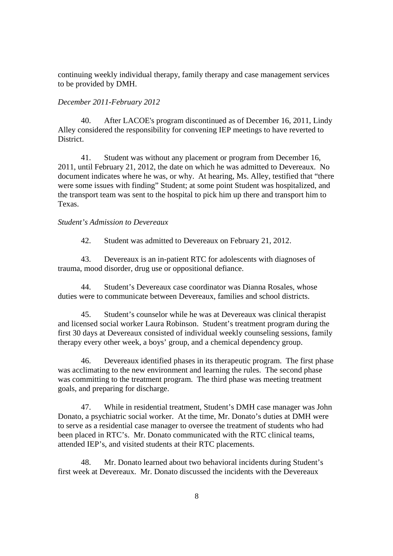continuing weekly individual therapy, family therapy and case management services to be provided by DMH.

### *December 2011-February 2012*

40. After LACOE's program discontinued as of December 16, 2011, Lindy Alley considered the responsibility for convening IEP meetings to have reverted to District.

41. Student was without any placement or program from December 16, 2011, until February 21, 2012, the date on which he was admitted to Devereaux. No document indicates where he was, or why. At hearing, Ms. Alley, testified that "there were some issues with finding" Student; at some point Student was hospitalized, and the transport team was sent to the hospital to pick him up there and transport him to Texas.

### *Student's Admission to Devereaux*

42. Student was admitted to Devereaux on February 21, 2012.

43. Devereaux is an in-patient RTC for adolescents with diagnoses of trauma, mood disorder, drug use or oppositional defiance.

44. Student's Devereaux case coordinator was Dianna Rosales, whose duties were to communicate between Devereaux, families and school districts.

45. Student's counselor while he was at Devereaux was clinical therapist and licensed social worker Laura Robinson. Student's treatment program during the first 30 days at Devereaux consisted of individual weekly counseling sessions, family therapy every other week, a boys' group, and a chemical dependency group.

46. Devereaux identified phases in its therapeutic program. The first phase was acclimating to the new environment and learning the rules. The second phase was committing to the treatment program. The third phase was meeting treatment goals, and preparing for discharge.

47. While in residential treatment, Student's DMH case manager was John Donato, a psychiatric social worker. At the time, Mr. Donato's duties at DMH were to serve as a residential case manager to oversee the treatment of students who had been placed in RTC's. Mr. Donato communicated with the RTC clinical teams, attended IEP's, and visited students at their RTC placements.

48. Mr. Donato learned about two behavioral incidents during Student's first week at Devereaux. Mr. Donato discussed the incidents with the Devereaux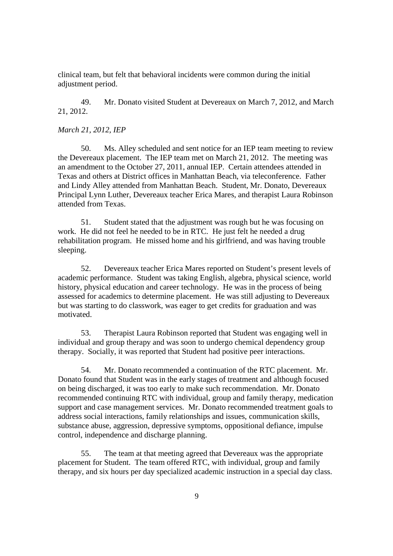clinical team, but felt that behavioral incidents were common during the initial adjustment period.

49. Mr. Donato visited Student at Devereaux on March 7, 2012, and March 21, 2012.

### *March 21, 2012, IEP*

50. Ms. Alley scheduled and sent notice for an IEP team meeting to review the Devereaux placement. The IEP team met on March 21, 2012. The meeting was an amendment to the October 27, 2011, annual IEP. Certain attendees attended in Texas and others at District offices in Manhattan Beach, via teleconference. Father and Lindy Alley attended from Manhattan Beach. Student, Mr. Donato, Devereaux Principal Lynn Luther, Devereaux teacher Erica Mares, and therapist Laura Robinson attended from Texas.

51. Student stated that the adjustment was rough but he was focusing on work. He did not feel he needed to be in RTC. He just felt he needed a drug rehabilitation program. He missed home and his girlfriend, and was having trouble sleeping.

52. Devereaux teacher Erica Mares reported on Student's present levels of academic performance. Student was taking English, algebra, physical science, world history, physical education and career technology. He was in the process of being assessed for academics to determine placement. He was still adjusting to Devereaux but was starting to do classwork, was eager to get credits for graduation and was motivated.

53. Therapist Laura Robinson reported that Student was engaging well in individual and group therapy and was soon to undergo chemical dependency group therapy. Socially, it was reported that Student had positive peer interactions.

54. Mr. Donato recommended a continuation of the RTC placement. Mr. Donato found that Student was in the early stages of treatment and although focused on being discharged, it was too early to make such recommendation. Mr. Donato recommended continuing RTC with individual, group and family therapy, medication support and case management services. Mr. Donato recommended treatment goals to address social interactions, family relationships and issues, communication skills, substance abuse, aggression, depressive symptoms, oppositional defiance, impulse control, independence and discharge planning.

55. The team at that meeting agreed that Devereaux was the appropriate placement for Student. The team offered RTC, with individual, group and family therapy, and six hours per day specialized academic instruction in a special day class.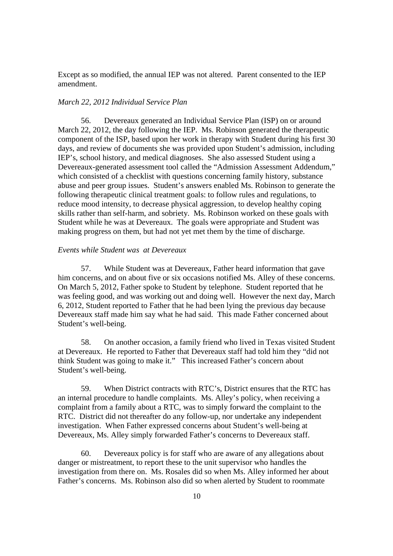Except as so modified, the annual IEP was not altered. Parent consented to the IEP amendment.

### *March 22, 2012 Individual Service Plan*

56. Devereaux generated an Individual Service Plan (ISP) on or around March 22, 2012, the day following the IEP. Ms. Robinson generated the therapeutic component of the ISP, based upon her work in therapy with Student during his first 30 days, and review of documents she was provided upon Student's admission, including IEP's, school history, and medical diagnoses. She also assessed Student using a Devereaux-generated assessment tool called the "Admission Assessment Addendum," which consisted of a checklist with questions concerning family history, substance abuse and peer group issues. Student's answers enabled Ms. Robinson to generate the following therapeutic clinical treatment goals: to follow rules and regulations, to reduce mood intensity, to decrease physical aggression, to develop healthy coping skills rather than self-harm, and sobriety. Ms. Robinson worked on these goals with Student while he was at Devereaux. The goals were appropriate and Student was making progress on them, but had not yet met them by the time of discharge.

# *Events while Student was at Devereaux*

57. While Student was at Devereaux, Father heard information that gave him concerns, and on about five or six occasions notified Ms. Alley of these concerns. On March 5, 2012, Father spoke to Student by telephone. Student reported that he was feeling good, and was working out and doing well. However the next day, March 6, 2012, Student reported to Father that he had been lying the previous day because Devereaux staff made him say what he had said. This made Father concerned about Student's well-being.

58. On another occasion, a family friend who lived in Texas visited Student at Devereaux. He reported to Father that Devereaux staff had told him they "did not think Student was going to make it." This increased Father's concern about Student's well-being.

59. When District contracts with RTC's, District ensures that the RTC has an internal procedure to handle complaints. Ms. Alley's policy, when receiving a complaint from a family about a RTC, was to simply forward the complaint to the RTC. District did not thereafter do any follow-up, nor undertake any independent investigation. When Father expressed concerns about Student's well-being at Devereaux, Ms. Alley simply forwarded Father's concerns to Devereaux staff.

60. Devereaux policy is for staff who are aware of any allegations about danger or mistreatment, to report these to the unit supervisor who handles the investigation from there on. Ms. Rosales did so when Ms. Alley informed her about Father's concerns. Ms. Robinson also did so when alerted by Student to roommate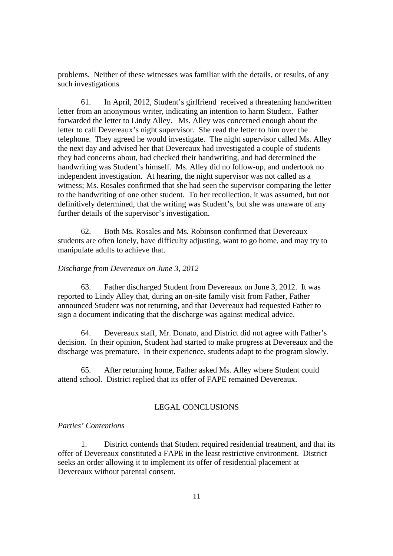problems. Neither of these witnesses was familiar with the details, or results, of any such investigations

61. In April, 2012, Student's girlfriend received a threatening handwritten letter from an anonymous writer, indicating an intention to harm Student. Father forwarded the letter to Lindy Alley. Ms. Alley was concerned enough about the letter to call Devereaux's night supervisor. She read the letter to him over the telephone. They agreed he would investigate. The night supervisor called Ms. Alley the next day and advised her that Devereaux had investigated a couple of students they had concerns about, had checked their handwriting, and had determined the handwriting was Student's himself. Ms. Alley did no follow-up, and undertook no independent investigation. At hearing, the night supervisor was not called as a witness; Ms. Rosales confirmed that she had seen the supervisor comparing the letter to the handwriting of one other student. To her recollection, it was assumed, but not definitively determined, that the writing was Student's, but she was unaware of any further details of the supervisor's investigation.

62. Both Ms. Rosales and Ms. Robinson confirmed that Devereaux students are often lonely, have difficulty adjusting, want to go home, and may try to manipulate adults to achieve that.

### *Discharge from Devereaux on June 3, 2012*

63. Father discharged Student from Devereaux on June 3, 2012. It was reported to Lindy Alley that, during an on-site family visit from Father, Father announced Student was not returning, and that Devereaux had requested Father to sign a document indicating that the discharge was against medical advice.

64. Devereaux staff, Mr. Donato, and District did not agree with Father's decision. In their opinion, Student had started to make progress at Devereaux and the discharge was premature. In their experience, students adapt to the program slowly.

65. After returning home, Father asked Ms. Alley where Student could attend school. District replied that its offer of FAPE remained Devereaux.

## LEGAL CONCLUSIONS

# *Parties' Contentions*

1. District contends that Student required residential treatment, and that its offer of Devereaux constituted a FAPE in the least restrictive environment. District seeks an order allowing it to implement its offer of residential placement at Devereaux without parental consent.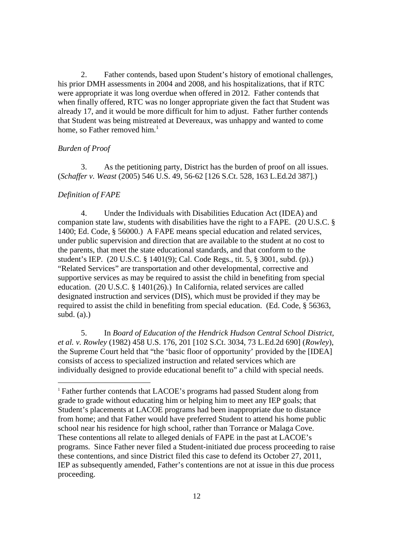2. Father contends, based upon Student's history of emotional challenges, his prior DMH assessments in 2004 and 2008, and his hospitalizations, that if RTC were appropriate it was long overdue when offered in 2012. Father contends that when finally offered, RTC was no longer appropriate given the fact that Student was already 17, and it would be more difficult for him to adjust. Father further contends that Student was being mistreated at Devereaux, was unhappy and wanted to come home, so Father removed him. $<sup>1</sup>$ </sup>

### *Burden of Proof*

3. As the petitioning party, District has the burden of proof on all issues. (*Schaffer v. Weast* (2005) 546 U.S. 49, 56-62 [126 S.Ct. 528, 163 L.Ed.2d 387].)

### *Definition of FAPE*

4. Under the Individuals with Disabilities Education Act (IDEA) and companion state law, students with disabilities have the right to a FAPE. (20 U.S.C. § 1400; Ed. Code, § 56000.) A FAPE means special education and related services, under public supervision and direction that are available to the student at no cost to the parents, that meet the state educational standards, and that conform to the student's IEP. (20 U.S.C. § 1401(9); Cal. Code Regs., tit. 5, § 3001, subd. (p).) "Related Services" are transportation and other developmental, corrective and supportive services as may be required to assist the child in benefiting from special education. (20 U.S.C. § 1401(26).) In California, related services are called designated instruction and services (DIS), which must be provided if they may be required to assist the child in benefiting from special education. (Ed. Code, § 56363, subd.  $(a)$ .)

5. In *Board of Education of the Hendrick Hudson Central School District, et al. v. Rowley* (1982) 458 U.S. 176, 201 [102 S.Ct. 3034, 73 L.Ed.2d 690] (*Rowley*), the Supreme Court held that "the 'basic floor of opportunity' provided by the [IDEA] consists of access to specialized instruction and related services which are individually designed to provide educational benefit to" a child with special needs.

<sup>1</sup> Father further contends that LACOE's programs had passed Student along from grade to grade without educating him or helping him to meet any IEP goals; that Student's placements at LACOE programs had been inappropriate due to distance from home; and that Father would have preferred Student to attend his home public school near his residence for high school, rather than Torrance or Malaga Cove. These contentions all relate to alleged denials of FAPE in the past at LACOE's programs. Since Father never filed a Student-initiated due process proceeding to raise these contentions, and since District filed this case to defend its October 27, 2011, IEP as subsequently amended, Father's contentions are not at issue in this due process proceeding.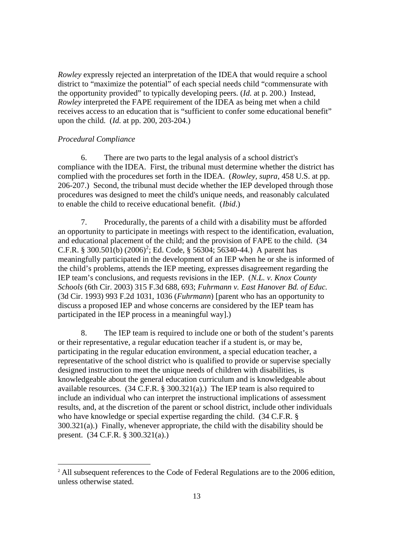*Rowley* expressly rejected an interpretation of the IDEA that would require a school district to "maximize the potential" of each special needs child "commensurate with the opportunity provided" to typically developing peers. (*Id.* at p. 200.) Instead, *Rowley* interpreted the FAPE requirement of the IDEA as being met when a child receives access to an education that is "sufficient to confer some educational benefit" upon the child. (*Id.* at pp. 200, 203-204.)

### *Procedural Compliance*

6. There are two parts to the legal analysis of a school district's compliance with the IDEA. First, the tribunal must determine whether the district has complied with the procedures set forth in the IDEA. (*Rowley, supra,* 458 U.S. at pp. 206-207.) Second, the tribunal must decide whether the IEP developed through those procedures was designed to meet the child's unique needs, and reasonably calculated to enable the child to receive educational benefit. (*Ibid*.)

7. Procedurally, the parents of a child with a disability must be afforded an opportunity to participate in meetings with respect to the identification, evaluation, and educational placement of the child; and the provision of FAPE to the child. (34 C.F.R. § 300.501(b)  $(2006)^2$ ; Ed. Code, § 56304; 56340-44.) A parent has meaningfully participated in the development of an IEP when he or she is informed of the child's problems, attends the IEP meeting, expresses disagreement regarding the IEP team's conclusions, and requests revisions in the IEP. (*N.L. v. Knox County Schools* (6th Cir. 2003) 315 F.3d 688, 693; *Fuhrmann v. East Hanover Bd. of Educ.* (3d Cir. 1993) 993 F.2d 1031, 1036 (*Fuhrmann*) [parent who has an opportunity to discuss a proposed IEP and whose concerns are considered by the IEP team has participated in the IEP process in a meaningful way].)

8. The IEP team is required to include one or both of the student's parents or their representative, a regular education teacher if a student is, or may be, participating in the regular education environment, a special education teacher, a representative of the school district who is qualified to provide or supervise specially designed instruction to meet the unique needs of children with disabilities, is knowledgeable about the general education curriculum and is knowledgeable about available resources. (34 C.F.R. § 300.321(a).) The IEP team is also required to include an individual who can interpret the instructional implications of assessment results, and, at the discretion of the parent or school district, include other individuals who have knowledge or special expertise regarding the child. (34 C.F.R. § 300.321(a).) Finally, whenever appropriate, the child with the disability should be present. (34 C.F.R. § 300.321(a).)

<sup>&</sup>lt;sup>2</sup> All subsequent references to the Code of Federal Regulations are to the 2006 edition, unless otherwise stated.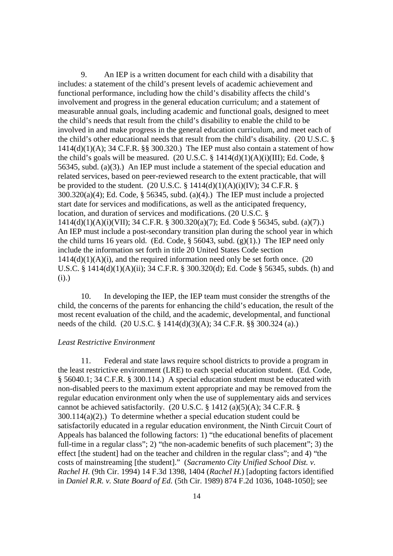9. An IEP is a written document for each child with a disability that includes: a statement of the child's present levels of academic achievement and functional performance, including how the child's disability affects the child's involvement and progress in the general education curriculum; and a statement of measurable annual goals, including academic and functional goals, designed to meet the child's needs that result from the child's disability to enable the child to be involved in and make progress in the general education curriculum, and meet each of the child's other educational needs that result from the child's disability. (20 U.S.C. §  $1414(d)(1)(A)$ ; 34 C.F.R. §§ 300.320.) The IEP must also contain a statement of how the child's goals will be measured. (20 U.S.C.  $\S$  1414(d)(1)(A)(i)(III); Ed. Code,  $\S$ 56345, subd. (a)(3).) An IEP must include a statement of the special education and related services, based on peer-reviewed research to the extent practicable, that will be provided to the student. (20 U.S.C.  $\S$  1414(d)(1)(A)(i)(IV); 34 C.F.R.  $\S$  $300.320(a)(4)$ ; Ed. Code, § 56345, subd. (a)(4).) The IEP must include a projected start date for services and modifications, as well as the anticipated frequency, location, and duration of services and modifications. (20 U.S.C. § 1414(d)(1)(A)(i)(VII); 34 C.F.R. § 300.320(a)(7); Ed. Code § 56345, subd. (a)(7).) An IEP must include a post-secondary transition plan during the school year in which the child turns 16 years old. (Ed. Code,  $\S$  56043, subd. (g)(1).) The IEP need only include the information set forth in title 20 United States Code section  $1414(d)(1)(A)(i)$ , and the required information need only be set forth once. (20) U.S.C. § 1414(d)(1)(A)(ii); 34 C.F.R. § 300.320(d); Ed. Code § 56345, subds. (h) and (i).)

10. In developing the IEP, the IEP team must consider the strengths of the child, the concerns of the parents for enhancing the child's education, the result of the most recent evaluation of the child, and the academic, developmental, and functional needs of the child. (20 U.S.C. § 1414(d)(3)(A); 34 C.F.R. §§ 300.324 (a).)

### *Least Restrictive Environment*

11. Federal and state laws require school districts to provide a program in the least restrictive environment (LRE) to each special education student. (Ed. Code, § 56040.1; 34 C.F.R. § 300.114.) A special education student must be educated with non-disabled peers to the maximum extent appropriate and may be removed from the regular education environment only when the use of supplementary aids and services cannot be achieved satisfactorily. (20 U.S.C. § 1412 (a)(5)(A); 34 C.F.R. § 300.114(a)(2).) To determine whether a special education student could be satisfactorily educated in a regular education environment, the Ninth Circuit Court of Appeals has balanced the following factors: 1) "the educational benefits of placement full-time in a regular class"; 2) "the non-academic benefits of such placement"; 3) the effect [the student] had on the teacher and children in the regular class"; and 4) "the costs of mainstreaming [the student]." (*Sacramento City Unified School Dist. v. Rachel H.* (9th Cir. 1994) 14 F.3d 1398, 1404 (*Rachel H.*) [adopting factors identified in *Daniel R.R. v. State Board of Ed.* (5th Cir. 1989) 874 F.2d 1036, 1048-1050]; see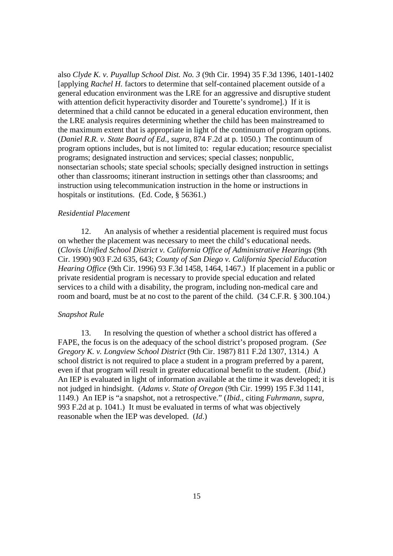also *Clyde K. v. Puyallup School Dist. No. 3* (9th Cir. 1994) 35 F.3d 1396, 1401-1402 [applying *Rachel H.* factors to determine that self-contained placement outside of a general education environment was the LRE for an aggressive and disruptive student with attention deficit hyperactivity disorder and Tourette's syndrome].) If it is determined that a child cannot be educated in a general education environment, then the LRE analysis requires determining whether the child has been mainstreamed to the maximum extent that is appropriate in light of the continuum of program options. (*Daniel R.R. v. State Board of Ed., supra,* 874 F.2d at p. 1050.) The continuum of program options includes, but is not limited to: regular education; resource specialist programs; designated instruction and services; special classes; nonpublic, nonsectarian schools; state special schools; specially designed instruction in settings other than classrooms; itinerant instruction in settings other than classrooms; and instruction using telecommunication instruction in the home or instructions in hospitals or institutions. (Ed. Code, § 56361.)

#### *Residential Placement*

12. An analysis of whether a residential placement is required must focus on whether the placement was necessary to meet the child's educational needs. (*Clovis Unified School District v. California Office of Administrative Hearings* (9th Cir. 1990) 903 F.2d 635, 643; *County of San Diego v. California Special Education Hearing Office* (9th Cir. 1996) 93 F.3d 1458, 1464, 1467.) If placement in a public or private residential program is necessary to provide special education and related services to a child with a disability, the program, including non-medical care and room and board, must be at no cost to the parent of the child. (34 C.F.R. § 300.104.)

### *Snapshot Rule*

13. In resolving the question of whether a school district has offered a FAPE, the focus is on the adequacy of the school district's proposed program. (*See Gregory K. v. Longview School District* (9th Cir. 1987) 811 F.2d 1307, 1314.) A school district is not required to place a student in a program preferred by a parent, even if that program will result in greater educational benefit to the student. (*Ibid*.) An IEP is evaluated in light of information available at the time it was developed; it is not judged in hindsight. (*Adams v. State of Oregon* (9th Cir. 1999) 195 F.3d 1141, 1149.) An IEP is "a snapshot, not a retrospective." (*Ibid.,* citing *Fuhrmann, supra,* 993 F.2d at p. 1041.) It must be evaluated in terms of what was objectively reasonable when the IEP was developed. (*Id*.)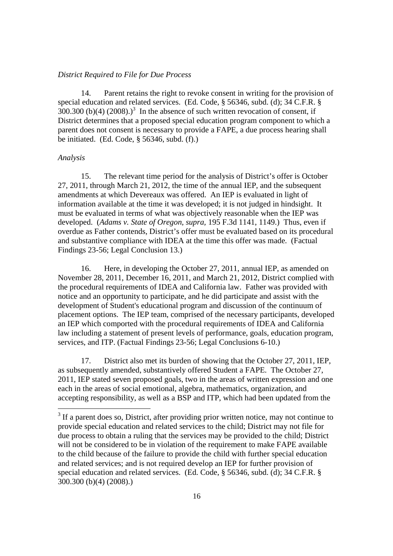### *District Required to File for Due Process*

14. Parent retains the right to revoke consent in writing for the provision of special education and related services. (Ed. Code, § 56346, subd. (d); 34 C.F.R. §  $300.300$  (b)(4) (2008).)<sup>3</sup> In the absence of such written revocation of consent, if District determines that a proposed special education program component to which a parent does not consent is necessary to provide a FAPE, a due process hearing shall be initiated. (Ed. Code, § 56346, subd. (f).)

### *Analysis*

15. The relevant time period for the analysis of District's offer is October 27, 2011, through March 21, 2012, the time of the annual IEP, and the subsequent amendments at which Devereaux was offered. An IEP is evaluated in light of information available at the time it was developed; it is not judged in hindsight. It must be evaluated in terms of what was objectively reasonable when the IEP was developed. (*Adams v. State of Oregon, supra,* 195 F.3d 1141, 1149.) Thus, even if overdue as Father contends, District's offer must be evaluated based on its procedural and substantive compliance with IDEA at the time this offer was made. (Factual Findings 23-56; Legal Conclusion 13.)

16. Here, in developing the October 27, 2011, annual IEP, as amended on November 28, 2011, December 16, 2011, and March 21, 2012, District complied with the procedural requirements of IDEA and California law. Father was provided with notice and an opportunity to participate, and he did participate and assist with the development of Student's educational program and discussion of the continuum of placement options. The IEP team, comprised of the necessary participants, developed an IEP which comported with the procedural requirements of IDEA and California law including a statement of present levels of performance, goals, education program, services, and ITP. (Factual Findings 23-56; Legal Conclusions 6-10.)

17. District also met its burden of showing that the October 27, 2011, IEP, as subsequently amended, substantively offered Student a FAPE. The October 27, 2011, IEP stated seven proposed goals, two in the areas of written expression and one each in the areas of social emotional, algebra, mathematics, organization, and accepting responsibility, as well as a BSP and ITP, which had been updated from the

<sup>&</sup>lt;sup>3</sup> If a parent does so, District, after providing prior written notice, may not continue to provide special education and related services to the child; District may not file for due process to obtain a ruling that the services may be provided to the child; District will not be considered to be in violation of the requirement to make FAPE available to the child because of the failure to provide the child with further special education and related services; and is not required develop an IEP for further provision of special education and related services. (Ed. Code, § 56346, subd. (d); 34 C.F.R. § 300.300 (b)(4) (2008).)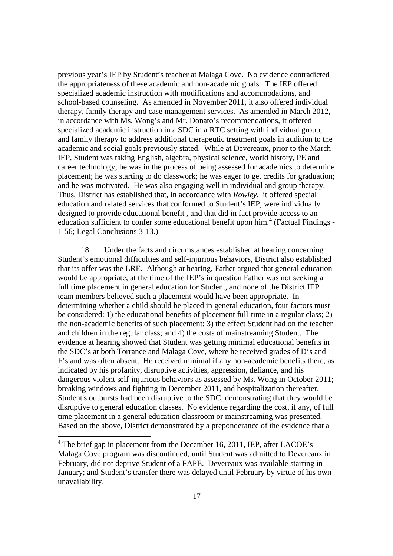previous year's IEP by Student's teacher at Malaga Cove. No evidence contradicted the appropriateness of these academic and non-academic goals. The IEP offered specialized academic instruction with modifications and accommodations, and school-based counseling. As amended in November 2011, it also offered individual therapy, family therapy and case management services. As amended in March 2012, in accordance with Ms. Wong's and Mr. Donato's recommendations, it offered specialized academic instruction in a SDC in a RTC setting with individual group, and family therapy to address additional therapeutic treatment goals in addition to the academic and social goals previously stated. While at Devereaux, prior to the March IEP, Student was taking English, algebra, physical science, world history, PE and career technology; he was in the process of being assessed for academics to determine placement; he was starting to do classwork; he was eager to get credits for graduation; and he was motivated. He was also engaging well in individual and group therapy. Thus, District has established that, in accordance with *Rowley*, it offered special education and related services that conformed to Student's IEP, were individually designed to provide educational benefit , and that did in fact provide access to an education sufficient to confer some educational benefit upon him.<sup>4</sup> (Factual Findings -1-56; Legal Conclusions 3-13.)

18. Under the facts and circumstances established at hearing concerning Student's emotional difficulties and self-injurious behaviors, District also established that its offer was the LRE. Although at hearing, Father argued that general education would be appropriate, at the time of the IEP's in question Father was not seeking a full time placement in general education for Student, and none of the District IEP team members believed such a placement would have been appropriate. In determining whether a child should be placed in general education, four factors must be considered: 1) the educational benefits of placement full-time in a regular class; 2) the non-academic benefits of such placement; 3) the effect Student had on the teacher and children in the regular class; and 4) the costs of mainstreaming Student. The evidence at hearing showed that Student was getting minimal educational benefits in the SDC's at both Torrance and Malaga Cove, where he received grades of D's and F's and was often absent. He received minimal if any non-academic benefits there, as indicated by his profanity, disruptive activities, aggression, defiance, and his dangerous violent self-injurious behaviors as assessed by Ms. Wong in October 2011; breaking windows and fighting in December 2011, and hospitalization thereafter. Student's outbursts had been disruptive to the SDC, demonstrating that they would be disruptive to general education classes. No evidence regarding the cost, if any, of full time placement in a general education classroom or mainstreaming was presented. Based on the above, District demonstrated by a preponderance of the evidence that a

 $4$  The brief gap in placement from the December 16, 2011, IEP, after LACOE's Malaga Cove program was discontinued, until Student was admitted to Devereaux in February, did not deprive Student of a FAPE. Devereaux was available starting in January; and Student's transfer there was delayed until February by virtue of his own unavailability.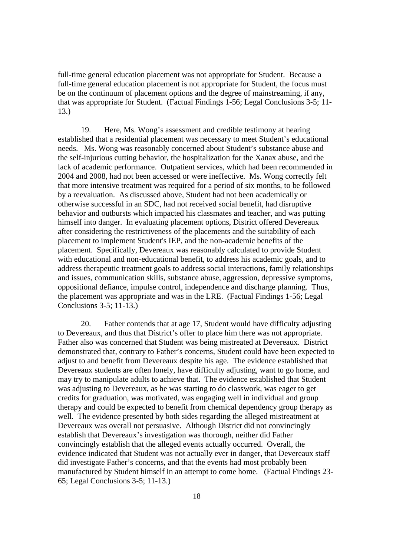full-time general education placement was not appropriate for Student. Because a full-time general education placement is not appropriate for Student, the focus must be on the continuum of placement options and the degree of mainstreaming, if any, that was appropriate for Student. (Factual Findings 1-56; Legal Conclusions 3-5; 11- 13.)

19. Here, Ms. Wong's assessment and credible testimony at hearing established that a residential placement was necessary to meet Student's educational needs. Ms. Wong was reasonably concerned about Student's substance abuse and the self-injurious cutting behavior, the hospitalization for the Xanax abuse, and the lack of academic performance. Outpatient services, which had been recommended in 2004 and 2008, had not been accessed or were ineffective. Ms. Wong correctly felt that more intensive treatment was required for a period of six months, to be followed by a reevaluation. As discussed above, Student had not been academically or otherwise successful in an SDC, had not received social benefit, had disruptive behavior and outbursts which impacted his classmates and teacher, and was putting himself into danger. In evaluating placement options, District offered Devereaux after considering the restrictiveness of the placements and the suitability of each placement to implement Student's IEP, and the non-academic benefits of the placement. Specifically, Devereaux was reasonably calculated to provide Student with educational and non-educational benefit, to address his academic goals, and to address therapeutic treatment goals to address social interactions, family relationships and issues, communication skills, substance abuse, aggression, depressive symptoms, oppositional defiance, impulse control, independence and discharge planning. Thus, the placement was appropriate and was in the LRE. (Factual Findings 1-56; Legal Conclusions 3-5; 11-13.)

20. Father contends that at age 17, Student would have difficulty adjusting to Devereaux, and thus that District's offer to place him there was not appropriate. Father also was concerned that Student was being mistreated at Devereaux. District demonstrated that, contrary to Father's concerns, Student could have been expected to adjust to and benefit from Devereaux despite his age. The evidence established that Devereaux students are often lonely, have difficulty adjusting, want to go home, and may try to manipulate adults to achieve that. The evidence established that Student was adjusting to Devereaux, as he was starting to do classwork, was eager to get credits for graduation, was motivated, was engaging well in individual and group therapy and could be expected to benefit from chemical dependency group therapy as well. The evidence presented by both sides regarding the alleged mistreatment at Devereaux was overall not persuasive. Although District did not convincingly establish that Devereaux's investigation was thorough, neither did Father convincingly establish that the alleged events actually occurred. Overall, the evidence indicated that Student was not actually ever in danger, that Devereaux staff did investigate Father's concerns, and that the events had most probably been manufactured by Student himself in an attempt to come home. (Factual Findings 23- 65; Legal Conclusions 3-5; 11-13.)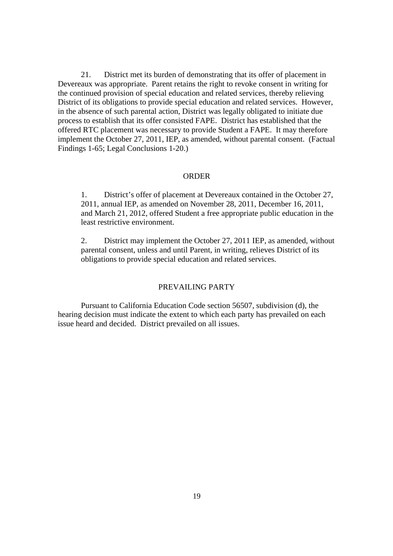21. District met its burden of demonstrating that its offer of placement in Devereaux was appropriate. Parent retains the right to revoke consent in writing for the continued provision of special education and related services, thereby relieving District of its obligations to provide special education and related services. However, in the absence of such parental action, District was legally obligated to initiate due process to establish that its offer consisted FAPE. District has established that the offered RTC placement was necessary to provide Student a FAPE. It may therefore implement the October 27, 2011, IEP, as amended, without parental consent. (Factual Findings 1-65; Legal Conclusions 1-20.)

#### ORDER

1. District's offer of placement at Devereaux contained in the October 27, 2011, annual IEP, as amended on November 28, 2011, December 16, 2011, and March 21, 2012, offered Student a free appropriate public education in the least restrictive environment.

2. District may implement the October 27, 2011 IEP, as amended, without parental consent, unless and until Parent, in writing, relieves District of its obligations to provide special education and related services.

## PREVAILING PARTY

Pursuant to California Education Code section 56507, subdivision (d), the hearing decision must indicate the extent to which each party has prevailed on each issue heard and decided. District prevailed on all issues.